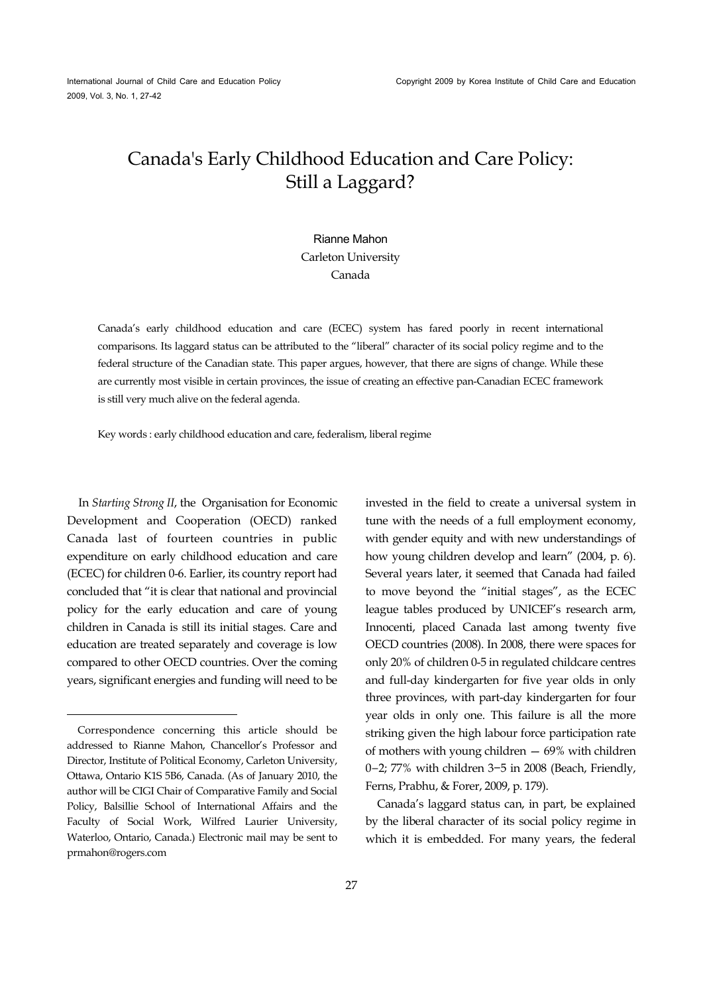# Canada's Early Childhood Education and Care Policy: Still a Laggard?

# Rianne Mahon Carleton University Canada

Canada's early childhood education and care (ECEC) system has fared poorly in recent international comparisons. Its laggard status can be attributed to the "liberal" character of its social policy regime and to the federal structure of the Canadian state. This paper argues, however, that there are signs of change. While these are currently most visible in certain provinces, the issue of creating an effective pan-Canadian ECEC framework is still very much alive on the federal agenda.

Key words : early childhood education and care, federalism, liberal regime

In *Starting Strong II*, the Organisation for Economic Development and Cooperation (OECD) ranked Canada last of fourteen countries in public expenditure on early childhood education and care (ECEC) for children 0-6. Earlier, its country report had concluded that "it is clear that national and provincial policy for the early education and care of young children in Canada is still its initial stages. Care and education are treated separately and coverage is low compared to other OECD countries. Over the coming years, significant energies and funding will need to be

 $\overline{a}$ 

invested in the field to create a universal system in tune with the needs of a full employment economy, with gender equity and with new understandings of how young children develop and learn" (2004, p. 6). Several years later, it seemed that Canada had failed to move beyond the "initial stages", as the ECEC league tables produced by UNICEF's research arm, Innocenti, placed Canada last among twenty five OECD countries (2008). In 2008, there were spaces for only 20% of children 0-5 in regulated childcare centres and full-day kindergarten for five year olds in only three provinces, with part-day kindergarten for four year olds in only one. This failure is all the more striking given the high labour force participation rate of mothers with young children — 69% with children 0−2; 77% with children 3−5 in 2008 (Beach, Friendly, Ferns, Prabhu, & Forer, 2009, p. 179).

Canada's laggard status can, in part, be explained by the liberal character of its social policy regime in which it is embedded. For many years, the federal

Correspondence concerning this article should be addressed to Rianne Mahon, Chancellor's Professor and Director, Institute of Political Economy, Carleton University, Ottawa, Ontario K1S 5B6, Canada. (As of January 2010, the author will be CIGI Chair of Comparative Family and Social Policy, Balsillie School of International Affairs and the Faculty of Social Work, Wilfred Laurier University, Waterloo, Ontario, Canada.) Electronic mail may be sent to prmahon@rogers.com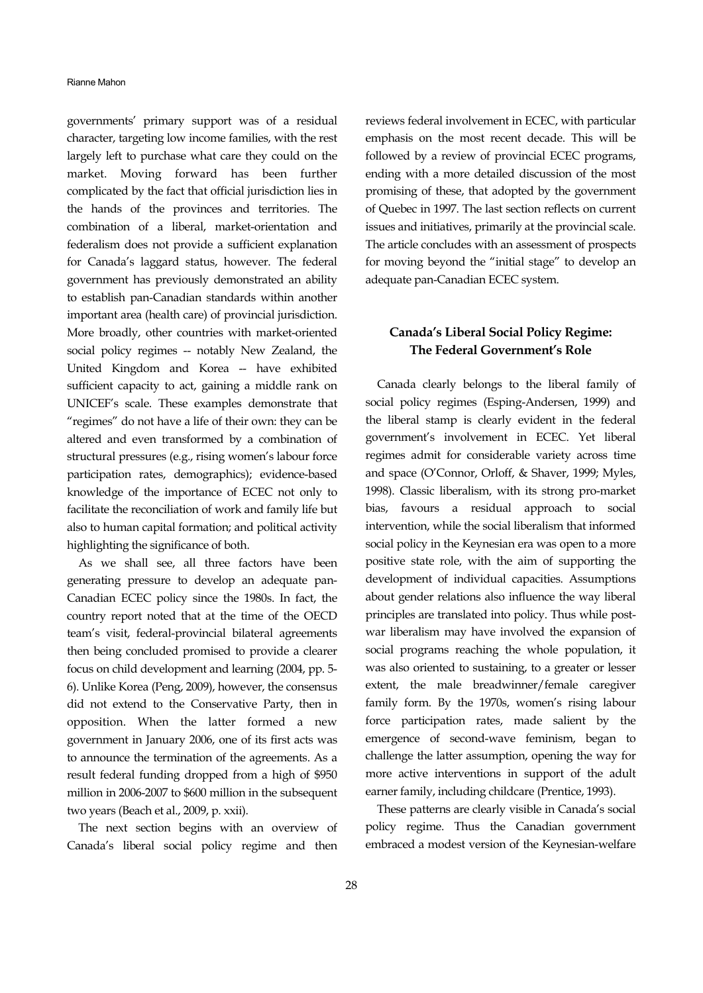governments' primary support was of a residual character, targeting low income families, with the rest largely left to purchase what care they could on the market. Moving forward has been further complicated by the fact that official jurisdiction lies in the hands of the provinces and territories. The combination of a liberal, market-orientation and federalism does not provide a sufficient explanation for Canada's laggard status, however. The federal government has previously demonstrated an ability to establish pan-Canadian standards within another important area (health care) of provincial jurisdiction. More broadly, other countries with market-oriented social policy regimes -- notably New Zealand, the United Kingdom and Korea -- have exhibited sufficient capacity to act, gaining a middle rank on UNICEF's scale. These examples demonstrate that "regimes" do not have a life of their own: they can be altered and even transformed by a combination of structural pressures (e.g., rising women's labour force participation rates, demographics); evidence-based knowledge of the importance of ECEC not only to facilitate the reconciliation of work and family life but also to human capital formation; and political activity highlighting the significance of both.

As we shall see, all three factors have been generating pressure to develop an adequate pan-Canadian ECEC policy since the 1980s. In fact, the country report noted that at the time of the OECD team's visit, federal-provincial bilateral agreements then being concluded promised to provide a clearer focus on child development and learning (2004, pp. 5- 6). Unlike Korea (Peng, 2009), however, the consensus did not extend to the Conservative Party, then in opposition. When the latter formed a new government in January 2006, one of its first acts was to announce the termination of the agreements. As a result federal funding dropped from a high of \$950 million in 2006-2007 to \$600 million in the subsequent two years (Beach et al., 2009, p. xxii).

The next section begins with an overview of Canada's liberal social policy regime and then

reviews federal involvement in ECEC, with particular emphasis on the most recent decade. This will be followed by a review of provincial ECEC programs, ending with a more detailed discussion of the most promising of these, that adopted by the government of Quebec in 1997. The last section reflects on current issues and initiatives, primarily at the provincial scale. The article concludes with an assessment of prospects for moving beyond the "initial stage" to develop an adequate pan-Canadian ECEC system.

# **Canada's Liberal Social Policy Regime: The Federal Government's Role**

Canada clearly belongs to the liberal family of social policy regimes (Esping-Andersen, 1999) and the liberal stamp is clearly evident in the federal government's involvement in ECEC. Yet liberal regimes admit for considerable variety across time and space (O'Connor, Orloff, & Shaver, 1999; Myles, 1998). Classic liberalism, with its strong pro-market bias, favours a residual approach to social intervention, while the social liberalism that informed social policy in the Keynesian era was open to a more positive state role, with the aim of supporting the development of individual capacities. Assumptions about gender relations also influence the way liberal principles are translated into policy. Thus while postwar liberalism may have involved the expansion of social programs reaching the whole population, it was also oriented to sustaining, to a greater or lesser extent, the male breadwinner/female caregiver family form. By the 1970s, women's rising labour force participation rates, made salient by the emergence of second-wave feminism, began to challenge the latter assumption, opening the way for more active interventions in support of the adult earner family, including childcare (Prentice, 1993).

These patterns are clearly visible in Canada's social policy regime. Thus the Canadian government embraced a modest version of the Keynesian-welfare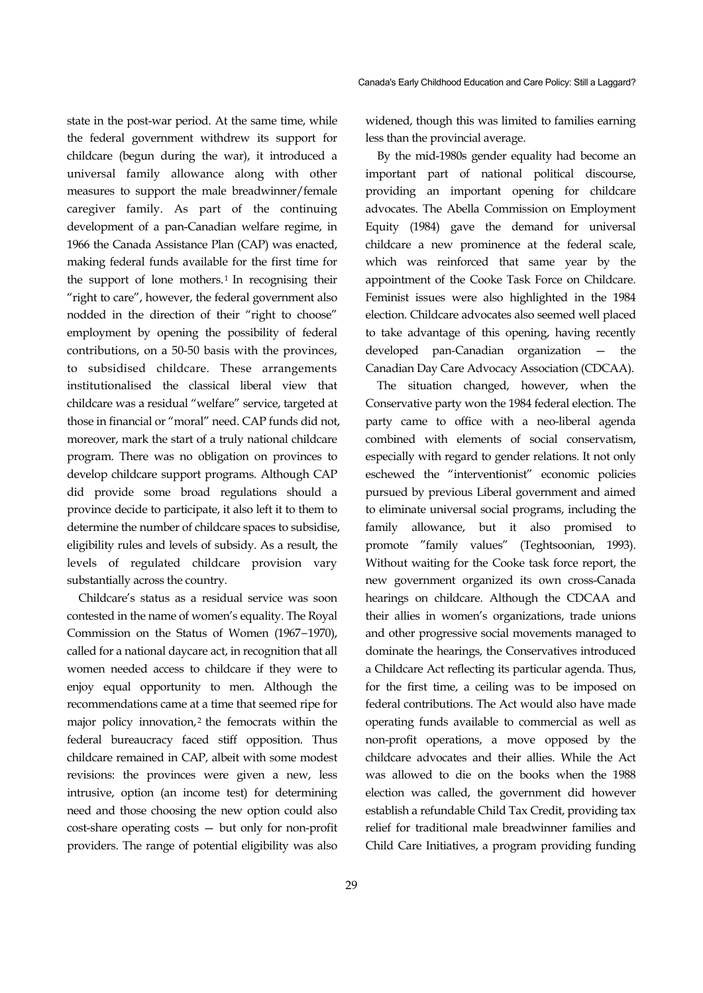state in the post-war period. At the same time, while the federal government withdrew its support for childcare (begun during the war), it introduced a universal family allowance along with other measures to support the male breadwinner/female caregiver family. As part of the continuing development of a pan-Canadian welfare regime, in 1966 the Canada Assistance Plan (CAP) was enacted, making federal funds available for the first time for the support of lone mothers.<sup>1</sup> In recognising their "right to care", however, the federal government also nodded in the direction of their "right to choose" employment by opening the possibility of federal contributions, on a 50-50 basis with the provinces, to subsidised childcare. These arrangements institutionalised the classical liberal view that childcare was a residual "welfare" service, targeted at those in financial or "moral" need. CAP funds did not, moreover, mark the start of a truly national childcare program. There was no obligation on provinces to develop childcare support programs. Although CAP did provide some broad regulations should a province decide to participate, it also left it to them to determine the number of childcare spaces to subsidise, eligibility rules and levels of subsidy. As a result, the levels of regulated childcare provision vary substantially across the country.

Childcare's status as a residual service was soon contested in the name of women's equality. The Royal Commission on the Status of Women (1967−1970), called for a national daycare act, in recognition that all women needed access to childcare if they were to enjoy equal opportunity to men. Although the recommendations came at a time that seemed ripe for major policy innovation, $2$  the femocrats within the federal bureaucracy faced stiff opposition. Thus childcare remained in CAP, albeit with some modest revisions: the provinces were given a new, less intrusive, option (an income test) for determining need and those choosing the new option could also cost-share operating costs — but only for non-profit providers. The range of potential eligibility was also

widened, though this was limited to families earning less than the provincial average.

By the mid-1980s gender equality had become an important part of national political discourse, providing an important opening for childcare advocates. The Abella Commission on Employment Equity (1984) gave the demand for universal childcare a new prominence at the federal scale, which was reinforced that same year by the appointment of the Cooke Task Force on Childcare. Feminist issues were also highlighted in the 1984 election. Childcare advocates also seemed well placed to take advantage of this opening, having recently developed pan-Canadian organization — the Canadian Day Care Advocacy Association (CDCAA).

The situation changed, however, when the Conservative party won the 1984 federal election. The party came to office with a neo-liberal agenda combined with elements of social conservatism, especially with regard to gender relations. It not only eschewed the "interventionist" economic policies pursued by previous Liberal government and aimed to eliminate universal social programs, including the family allowance, but it also promised to promote "family values" (Teghtsoonian, 1993). Without waiting for the Cooke task force report, the new government organized its own cross-Canada hearings on childcare. Although the CDCAA and their allies in women's organizations, trade unions and other progressive social movements managed to dominate the hearings, the Conservatives introduced a Childcare Act reflecting its particular agenda. Thus, for the first time, a ceiling was to be imposed on federal contributions. The Act would also have made operating funds available to commercial as well as non-profit operations, a move opposed by the childcare advocates and their allies. While the Act was allowed to die on the books when the 1988 election was called, the government did however establish a refundable Child Tax Credit, providing tax relief for traditional male breadwinner families and Child Care Initiatives, a program providing funding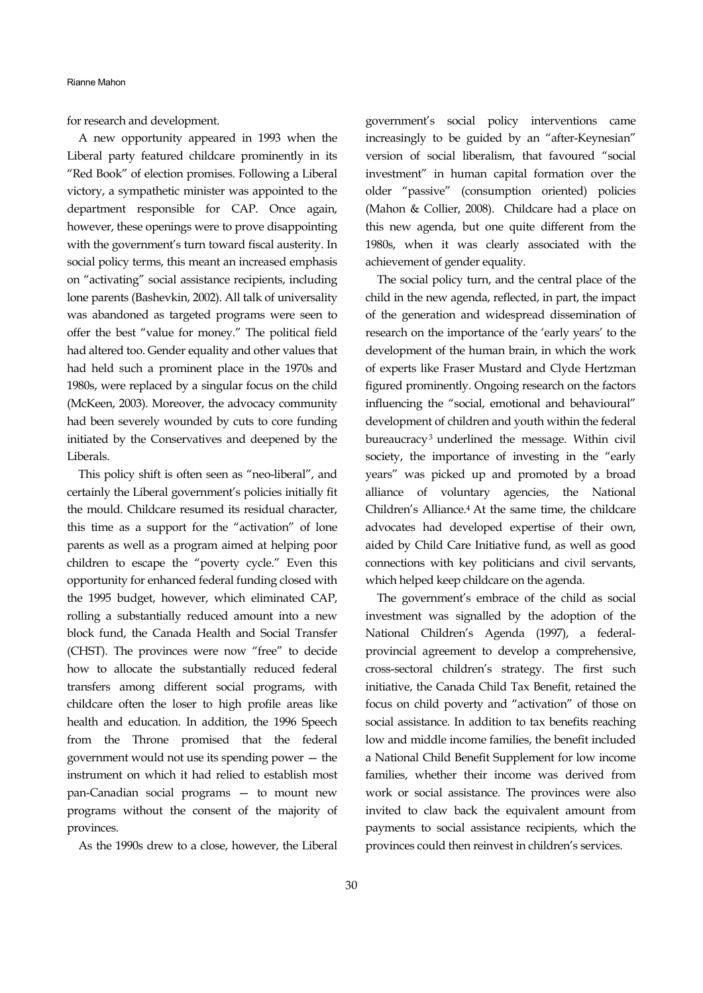for research and development.

A new opportunity appeared in 1993 when the Liberal party featured childcare prominently in its "Red Book" of election promises. Following a Liberal victory, a sympathetic minister was appointed to the department responsible for CAP. Once again, however, these openings were to prove disappointing with the government's turn toward fiscal austerity. In social policy terms, this meant an increased emphasis on "activating" social assistance recipients, including lone parents (Bashevkin, 2002). All talk of universality was abandoned as targeted programs were seen to offer the best "value for money." The political field had altered too. Gender equality and other values that had held such a prominent place in the 1970s and 1980s, were replaced by a singular focus on the child (McKeen, 2003). Moreover, the advocacy community had been severely wounded by cuts to core funding initiated by the Conservatives and deepened by the Liberals.

This policy shift is often seen as "neo-liberal", and certainly the Liberal government's policies initially fit the mould. Childcare resumed its residual character, this time as a support for the "activation" of lone parents as well as a program aimed at helping poor children to escape the "poverty cycle." Even this opportunity for enhanced federal funding closed with the 1995 budget, however, which eliminated CAP, rolling a substantially reduced amount into a new block fund, the Canada Health and Social Transfer (CHST). The provinces were now "free" to decide how to allocate the substantially reduced federal transfers among different social programs, with childcare often the loser to high profile areas like health and education. In addition, the 1996 Speech from the Throne promised that the federal government would not use its spending power — the instrument on which it had relied to establish most pan-Canadian social programs — to mount new programs without the consent of the majority of provinces.

As the 1990s drew to a close, however, the Liberal

government's social policy interventions came increasingly to be guided by an "after-Keynesian" version of social liberalism, that favoured "social investment" in human capital formation over the older "passive" (consumption oriented) policies (Mahon & Collier, 2008). Childcare had a place on this new agenda, but one quite different from the 1980s, when it was clearly associated with the achievement of gender equality.

The social policy turn, and the central place of the child in the new agenda, reflected, in part, the impact of the generation and widespread dissemination of research on the importance of the 'early years' to the development of the human brain, in which the work of experts like Fraser Mustard and Clyde Hertzman figured prominently. Ongoing research on the factors influencing the "social, emotional and behavioural" development of children and youth within the federal bureaucracy3 underlined the message. Within civil society, the importance of investing in the "early years" was picked up and promoted by a broad alliance of voluntary agencies, the National Children's Alliance.4 At the same time, the childcare advocates had developed expertise of their own, aided by Child Care Initiative fund, as well as good connections with key politicians and civil servants, which helped keep childcare on the agenda.

The government's embrace of the child as social investment was signalled by the adoption of the National Children's Agenda (1997), a federalprovincial agreement to develop a comprehensive, cross-sectoral children's strategy. The first such initiative, the Canada Child Tax Benefit, retained the focus on child poverty and "activation" of those on social assistance. In addition to tax benefits reaching low and middle income families, the benefit included a National Child Benefit Supplement for low income families, whether their income was derived from work or social assistance. The provinces were also invited to claw back the equivalent amount from payments to social assistance recipients, which the provinces could then reinvest in children's services.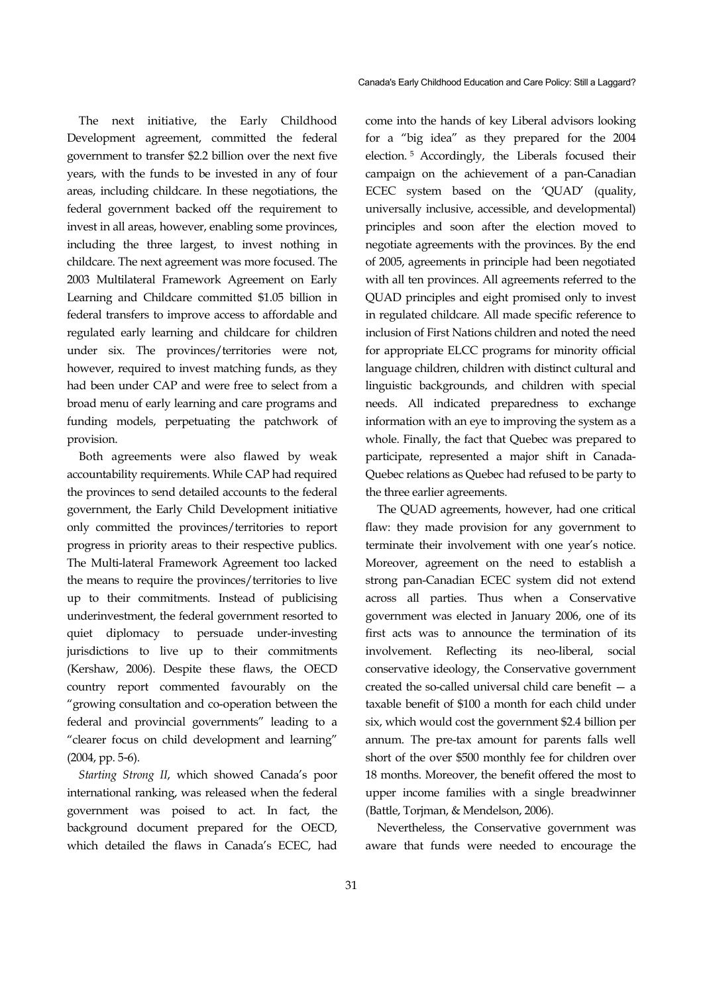The next initiative, the Early Childhood Development agreement, committed the federal government to transfer \$2.2 billion over the next five years, with the funds to be invested in any of four areas, including childcare. In these negotiations, the federal government backed off the requirement to invest in all areas, however, enabling some provinces, including the three largest, to invest nothing in childcare. The next agreement was more focused. The 2003 Multilateral Framework Agreement on Early Learning and Childcare committed \$1.05 billion in federal transfers to improve access to affordable and regulated early learning and childcare for children under six. The provinces/territories were not, however, required to invest matching funds, as they had been under CAP and were free to select from a broad menu of early learning and care programs and funding models, perpetuating the patchwork of provision.

Both agreements were also flawed by weak accountability requirements. While CAP had required the provinces to send detailed accounts to the federal government, the Early Child Development initiative only committed the provinces/territories to report progress in priority areas to their respective publics. The Multi-lateral Framework Agreement too lacked the means to require the provinces/territories to live up to their commitments. Instead of publicising underinvestment, the federal government resorted to quiet diplomacy to persuade under-investing jurisdictions to live up to their commitments (Kershaw, 2006). Despite these flaws, the OECD country report commented favourably on the "growing consultation and co-operation between the federal and provincial governments" leading to a "clearer focus on child development and learning" (2004, pp. 5-6).

*Starting Strong II*, which showed Canada's poor international ranking, was released when the federal government was poised to act. In fact, the background document prepared for the OECD, which detailed the flaws in Canada's ECEC, had

come into the hands of key Liberal advisors looking for a "big idea" as they prepared for the 2004 election. 5 Accordingly, the Liberals focused their campaign on the achievement of a pan-Canadian ECEC system based on the 'QUAD' (quality, universally inclusive, accessible, and developmental) principles and soon after the election moved to negotiate agreements with the provinces. By the end of 2005, agreements in principle had been negotiated with all ten provinces. All agreements referred to the QUAD principles and eight promised only to invest in regulated childcare. All made specific reference to inclusion of First Nations children and noted the need for appropriate ELCC programs for minority official language children, children with distinct cultural and linguistic backgrounds, and children with special needs. All indicated preparedness to exchange information with an eye to improving the system as a whole. Finally, the fact that Quebec was prepared to participate, represented a major shift in Canada-Quebec relations as Quebec had refused to be party to the three earlier agreements.

The QUAD agreements, however, had one critical flaw: they made provision for any government to terminate their involvement with one year's notice. Moreover, agreement on the need to establish a strong pan-Canadian ECEC system did not extend across all parties. Thus when a Conservative government was elected in January 2006, one of its first acts was to announce the termination of its involvement. Reflecting its neo-liberal, social conservative ideology, the Conservative government created the so-called universal child care benefit — a taxable benefit of \$100 a month for each child under six, which would cost the government \$2.4 billion per annum. The pre-tax amount for parents falls well short of the over \$500 monthly fee for children over 18 months. Moreover, the benefit offered the most to upper income families with a single breadwinner (Battle, Torjman, & Mendelson, 2006).

Nevertheless, the Conservative government was aware that funds were needed to encourage the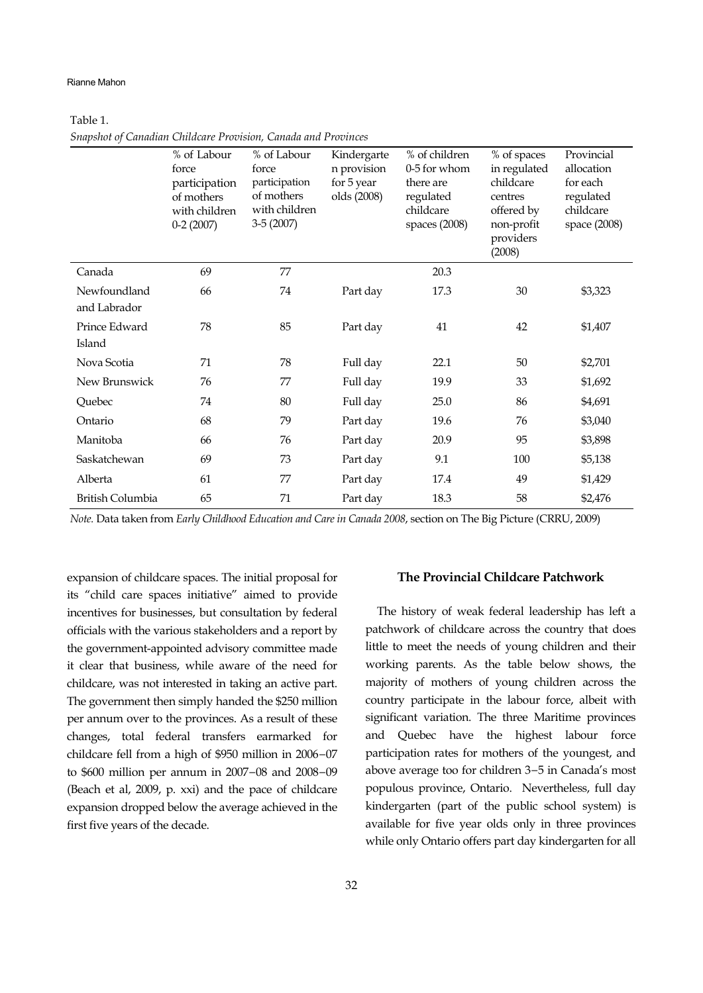#### Rianne Mahon

## Table 1.

|                              | % of Labour<br>force<br>participation<br>of mothers<br>with children<br>$0-2(2007)$ | % of Labour<br>force<br>participation<br>of mothers<br>with children<br>$3-5(2007)$ | Kindergarte<br>n provision<br>for 5 year<br>olds (2008) | % of children<br>0-5 for whom<br>there are<br>regulated<br>childcare<br>spaces (2008) | % of spaces<br>in regulated<br>childcare<br>centres<br>offered by<br>non-profit<br>providers<br>(2008) | Provincial<br>allocation<br>for each<br>regulated<br>childcare<br>space (2008) |
|------------------------------|-------------------------------------------------------------------------------------|-------------------------------------------------------------------------------------|---------------------------------------------------------|---------------------------------------------------------------------------------------|--------------------------------------------------------------------------------------------------------|--------------------------------------------------------------------------------|
| Canada                       | 69                                                                                  | 77                                                                                  |                                                         | 20.3                                                                                  |                                                                                                        |                                                                                |
| Newfoundland<br>and Labrador | 66                                                                                  | 74                                                                                  | Part day                                                | 17.3                                                                                  | 30                                                                                                     | \$3,323                                                                        |
| Prince Edward<br>Island      | 78                                                                                  | 85                                                                                  | Part day                                                | 41                                                                                    | 42                                                                                                     | \$1,407                                                                        |
| Nova Scotia                  | 71                                                                                  | 78                                                                                  | Full day                                                | 22.1                                                                                  | 50                                                                                                     | \$2,701                                                                        |
| New Brunswick                | 76                                                                                  | 77                                                                                  | Full day                                                | 19.9                                                                                  | 33                                                                                                     | \$1,692                                                                        |
| Quebec                       | 74                                                                                  | 80                                                                                  | Full day                                                | 25.0                                                                                  | 86                                                                                                     | \$4,691                                                                        |
| Ontario                      | 68                                                                                  | 79                                                                                  | Part day                                                | 19.6                                                                                  | 76                                                                                                     | \$3,040                                                                        |
| Manitoba                     | 66                                                                                  | 76                                                                                  | Part day                                                | 20.9                                                                                  | 95                                                                                                     | \$3,898                                                                        |
| Saskatchewan                 | 69                                                                                  | 73                                                                                  | Part day                                                | 9.1                                                                                   | 100                                                                                                    | \$5,138                                                                        |
| Alberta                      | 61                                                                                  | 77                                                                                  | Part day                                                | 17.4                                                                                  | 49                                                                                                     | \$1,429                                                                        |
| <b>British Columbia</b>      | 65                                                                                  | 71                                                                                  | Part day                                                | 18.3                                                                                  | 58                                                                                                     | \$2,476                                                                        |

*Snapshot of Canadian Childcare Provision, Canada and Provinces* 

*Note.* Data taken from *Early Childhood Education and Care in Canada 2008*, section on The Big Picture (CRRU, 2009)

expansion of childcare spaces. The initial proposal for its "child care spaces initiative" aimed to provide incentives for businesses, but consultation by federal officials with the various stakeholders and a report by the government-appointed advisory committee made it clear that business, while aware of the need for childcare, was not interested in taking an active part. The government then simply handed the \$250 million per annum over to the provinces. As a result of these changes, total federal transfers earmarked for childcare fell from a high of \$950 million in 2006−07 to \$600 million per annum in 2007−08 and 2008−09 (Beach et al, 2009, p. xxi) and the pace of childcare expansion dropped below the average achieved in the first five years of the decade.

#### **The Provincial Childcare Patchwork**

The history of weak federal leadership has left a patchwork of childcare across the country that does little to meet the needs of young children and their working parents. As the table below shows, the majority of mothers of young children across the country participate in the labour force, albeit with significant variation. The three Maritime provinces and Quebec have the highest labour force participation rates for mothers of the youngest, and above average too for children 3−5 in Canada's most populous province, Ontario. Nevertheless, full day kindergarten (part of the public school system) is available for five year olds only in three provinces while only Ontario offers part day kindergarten for all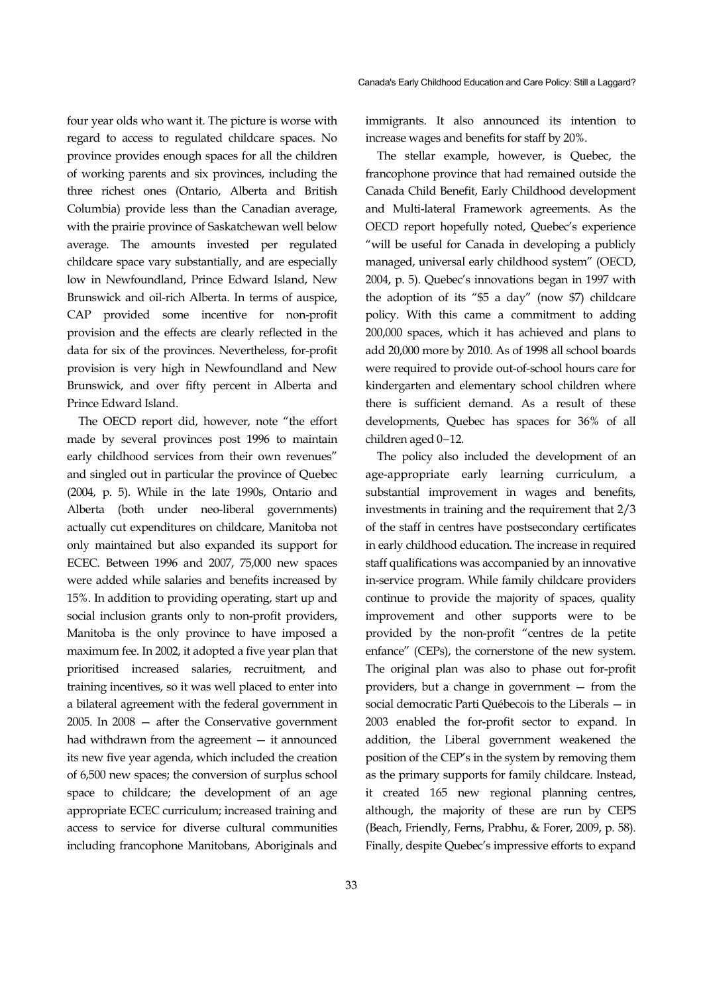four year olds who want it. The picture is worse with regard to access to regulated childcare spaces. No province provides enough spaces for all the children of working parents and six provinces, including the three richest ones (Ontario, Alberta and British Columbia) provide less than the Canadian average, with the prairie province of Saskatchewan well below average. The amounts invested per regulated childcare space vary substantially, and are especially low in Newfoundland, Prince Edward Island, New Brunswick and oil-rich Alberta. In terms of auspice, CAP provided some incentive for non-profit provision and the effects are clearly reflected in the data for six of the provinces. Nevertheless, for-profit provision is very high in Newfoundland and New Brunswick, and over fifty percent in Alberta and Prince Edward Island.

The OECD report did, however, note "the effort made by several provinces post 1996 to maintain early childhood services from their own revenues" and singled out in particular the province of Quebec (2004, p. 5). While in the late 1990s, Ontario and Alberta (both under neo-liberal governments) actually cut expenditures on childcare, Manitoba not only maintained but also expanded its support for ECEC. Between 1996 and 2007, 75,000 new spaces were added while salaries and benefits increased by 15%. In addition to providing operating, start up and social inclusion grants only to non-profit providers, Manitoba is the only province to have imposed a maximum fee. In 2002, it adopted a five year plan that prioritised increased salaries, recruitment, and training incentives, so it was well placed to enter into a bilateral agreement with the federal government in 2005. In 2008 — after the Conservative government had withdrawn from the agreement — it announced its new five year agenda, which included the creation of 6,500 new spaces; the conversion of surplus school space to childcare; the development of an age appropriate ECEC curriculum; increased training and access to service for diverse cultural communities including francophone Manitobans, Aboriginals and

33

immigrants. It also announced its intention to increase wages and benefits for staff by 20%.

The stellar example, however, is Quebec, the francophone province that had remained outside the Canada Child Benefit, Early Childhood development and Multi-lateral Framework agreements. As the OECD report hopefully noted, Quebec's experience "will be useful for Canada in developing a publicly managed, universal early childhood system" (OECD, 2004, p. 5). Quebec's innovations began in 1997 with the adoption of its "\$5 a day" (now \$7) childcare policy. With this came a commitment to adding 200,000 spaces, which it has achieved and plans to add 20,000 more by 2010. As of 1998 all school boards were required to provide out-of-school hours care for kindergarten and elementary school children where there is sufficient demand. As a result of these developments, Quebec has spaces for 36% of all children aged 0−12.

The policy also included the development of an age-appropriate early learning curriculum, a substantial improvement in wages and benefits, investments in training and the requirement that 2/3 of the staff in centres have postsecondary certificates in early childhood education. The increase in required staff qualifications was accompanied by an innovative in-service program. While family childcare providers continue to provide the majority of spaces, quality improvement and other supports were to be provided by the non-profit "centres de la petite enfance" (CEPs), the cornerstone of the new system. The original plan was also to phase out for-profit providers, but a change in government — from the social democratic Parti Québecois to the Liberals — in 2003 enabled the for-profit sector to expand. In addition, the Liberal government weakened the position of the CEP's in the system by removing them as the primary supports for family childcare. Instead, it created 165 new regional planning centres, although, the majority of these are run by CEPS (Beach, Friendly, Ferns, Prabhu, & Forer, 2009, p. 58). Finally, despite Quebec's impressive efforts to expand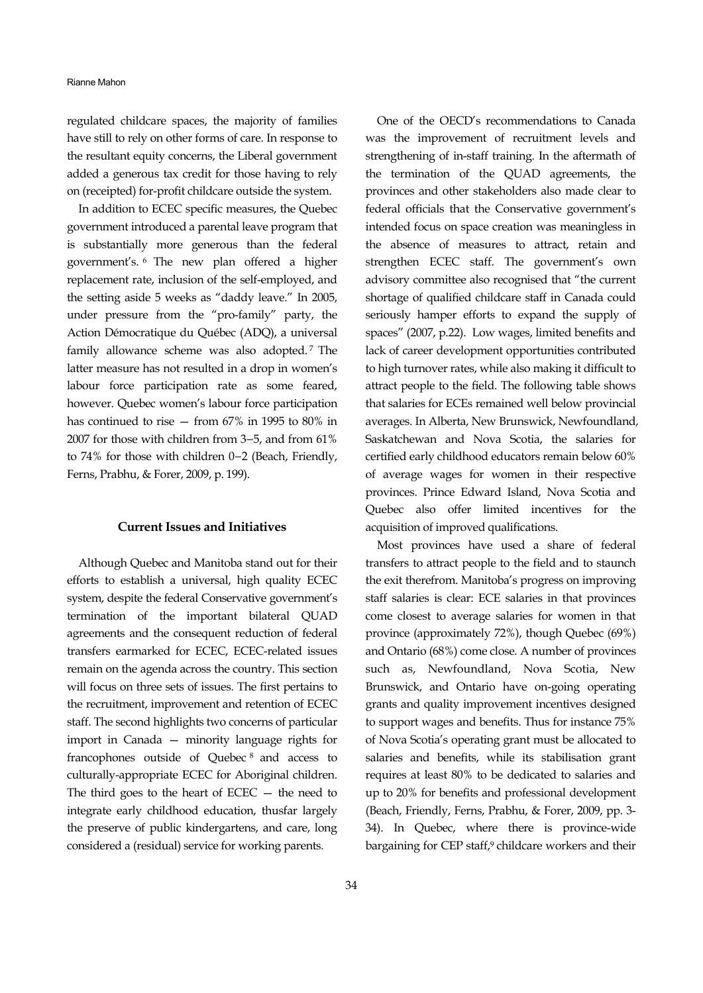#### Rianne Mahon

regulated childcare spaces, the majority of families have still to rely on other forms of care. In response to the resultant equity concerns, the Liberal government added a generous tax credit for those having to rely on (receipted) for-profit childcare outside the system.

In addition to ECEC specific measures, the Quebec government introduced a parental leave program that is substantially more generous than the federal government's. 6 The new plan offered a higher replacement rate, inclusion of the self-employed, and the setting aside 5 weeks as "daddy leave." In 2005, under pressure from the "pro-family" party, the Action Démocratique du Québec (ADQ), a universal family allowance scheme was also adopted. 7 The latter measure has not resulted in a drop in women's labour force participation rate as some feared, however. Quebec women's labour force participation has continued to rise — from 67% in 1995 to 80% in 2007 for those with children from 3–5, and from 61% to 74% for those with children 0−2 (Beach, Friendly, Ferns, Prabhu, & Forer, 2009, p. 199).

#### **Current Issues and Initiatives**

Although Quebec and Manitoba stand out for their efforts to establish a universal, high quality ECEC system, despite the federal Conservative government's termination of the important bilateral QUAD agreements and the consequent reduction of federal transfers earmarked for ECEC, ECEC-related issues remain on the agenda across the country. This section will focus on three sets of issues. The first pertains to the recruitment, improvement and retention of ECEC staff. The second highlights two concerns of particular import in Canada — minority language rights for francophones outside of Quebec 8 and access to culturally-appropriate ECEC for Aboriginal children. The third goes to the heart of ECEC  $-$  the need to integrate early childhood education, thusfar largely the preserve of public kindergartens, and care, long considered a (residual) service for working parents.

One of the OECD's recommendations to Canada was the improvement of recruitment levels and strengthening of in-staff training. In the aftermath of the termination of the QUAD agreements, the provinces and other stakeholders also made clear to federal officials that the Conservative government's intended focus on space creation was meaningless in the absence of measures to attract, retain and strengthen ECEC staff. The government's own advisory committee also recognised that "the current shortage of qualified childcare staff in Canada could seriously hamper efforts to expand the supply of spaces" (2007, p.22). Low wages, limited benefits and lack of career development opportunities contributed to high turnover rates, while also making it difficult to attract people to the field. The following table shows that salaries for ECEs remained well below provincial averages. In Alberta, New Brunswick, Newfoundland, Saskatchewan and Nova Scotia, the salaries for certified early childhood educators remain below 60% of average wages for women in their respective provinces. Prince Edward Island, Nova Scotia and Quebec also offer limited incentives for the acquisition of improved qualifications.

Most provinces have used a share of federal transfers to attract people to the field and to staunch the exit therefrom. Manitoba's progress on improving staff salaries is clear: ECE salaries in that provinces come closest to average salaries for women in that province (approximately 72%), though Quebec (69%) and Ontario (68%) come close. A number of provinces such as, Newfoundland, Nova Scotia, New Brunswick, and Ontario have on-going operating grants and quality improvement incentives designed to support wages and benefits. Thus for instance 75% of Nova Scotia's operating grant must be allocated to salaries and benefits, while its stabilisation grant requires at least 80% to be dedicated to salaries and up to 20% for benefits and professional development (Beach, Friendly, Ferns, Prabhu, & Forer, 2009, pp. 3- 34). In Quebec, where there is province-wide bargaining for CEP staff,<sup>9</sup> childcare workers and their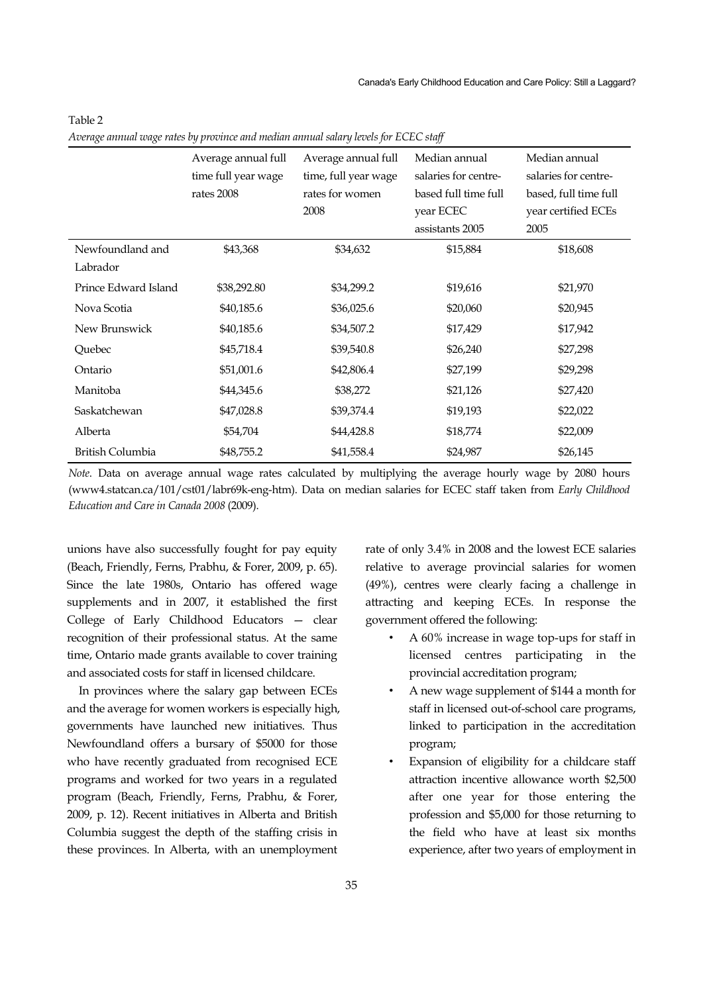| $\circ$<br>$\circ$   | J I                 |                      | גג                   |                       |
|----------------------|---------------------|----------------------|----------------------|-----------------------|
|                      | Average annual full | Average annual full  | Median annual        | Median annual         |
|                      | time full year wage | time, full year wage | salaries for centre- | salaries for centre-  |
|                      | rates 2008          | rates for women      | based full time full | based, full time full |
|                      |                     | 2008                 | year ECEC            | year certified ECEs   |
|                      |                     |                      | assistants 2005      | 2005                  |
| Newfoundland and     | \$43,368            | \$34,632             | \$15,884             | \$18,608              |
| Labrador             |                     |                      |                      |                       |
| Prince Edward Island | \$38,292.80         | \$34,299.2           | \$19,616             | \$21,970              |
| Nova Scotia          | \$40,185.6          | \$36,025.6           | \$20,060             | \$20,945              |
| New Brunswick        | \$40,185.6          | \$34,507.2           | \$17,429             | \$17,942              |
| Quebec               | \$45,718.4          | \$39,540.8           | \$26,240             | \$27,298              |
| Ontario              | \$51,001.6          | \$42,806.4           | \$27,199             | \$29,298              |
| Manitoba             | \$44,345.6          | \$38,272             | \$21,126             | \$27,420              |
| Saskatchewan         | \$47,028.8          | \$39,374.4           | \$19,193             | \$22,022              |
| Alberta              | \$54,704            | \$44,428.8           | \$18,774             | \$22,009              |
| British Columbia     | \$48,755.2          | \$41,558.4           | \$24,987             | \$26,145              |

#### Table 2

*Average annual wage rates by province and median annual salary levels for ECEC staff* 

*Note*. Data on average annual wage rates calculated by multiplying the average hourly wage by 2080 hours (www4.statcan.ca/101/cst01/labr69k-eng-htm). Data on median salaries for ECEC staff taken from *Early Childhood Education and Care in Canada 2008* (2009).

unions have also successfully fought for pay equity (Beach, Friendly, Ferns, Prabhu, & Forer, 2009, p. 65). Since the late 1980s, Ontario has offered wage supplements and in 2007, it established the first College of Early Childhood Educators — clear recognition of their professional status. At the same time, Ontario made grants available to cover training and associated costs for staff in licensed childcare.

In provinces where the salary gap between ECEs and the average for women workers is especially high, governments have launched new initiatives. Thus Newfoundland offers a bursary of \$5000 for those who have recently graduated from recognised ECE programs and worked for two years in a regulated program (Beach, Friendly, Ferns, Prabhu, & Forer, 2009, p. 12). Recent initiatives in Alberta and British Columbia suggest the depth of the staffing crisis in these provinces. In Alberta, with an unemployment

rate of only 3.4% in 2008 and the lowest ECE salaries relative to average provincial salaries for women (49%), centres were clearly facing a challenge in attracting and keeping ECEs. In response the government offered the following:

- A 60% increase in wage top-ups for staff in licensed centres participating in the provincial accreditation program;
- A new wage supplement of \$144 a month for staff in licensed out-of-school care programs, linked to participation in the accreditation program;
- Expansion of eligibility for a childcare staff attraction incentive allowance worth \$2,500 after one year for those entering the profession and \$5,000 for those returning to the field who have at least six months experience, after two years of employment in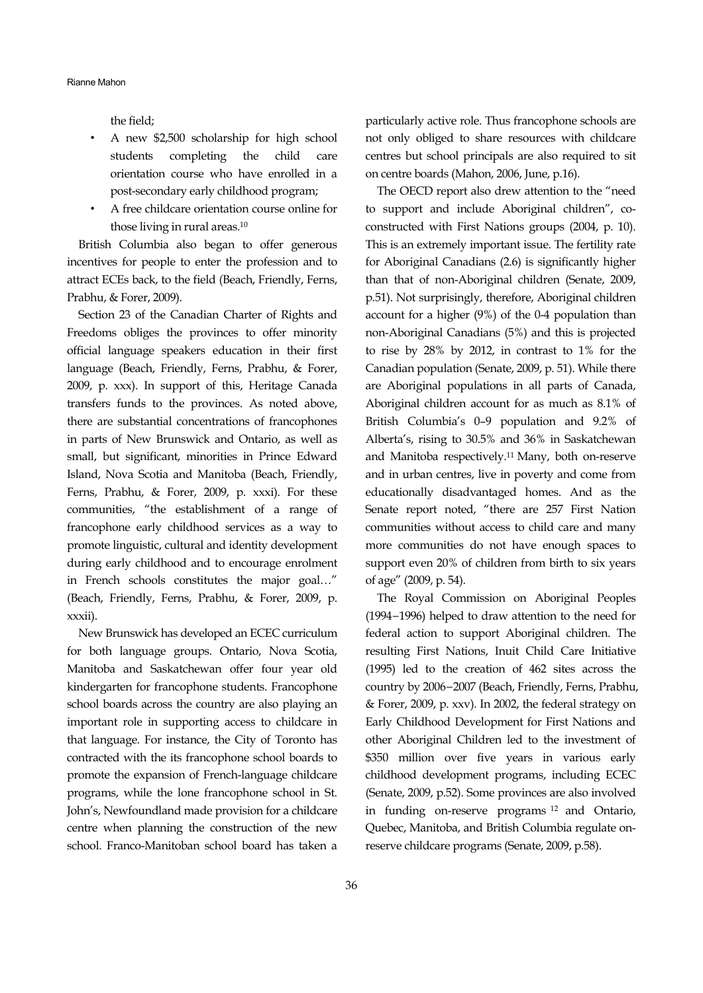the field;

- A new \$2,500 scholarship for high school students completing the child care orientation course who have enrolled in a post-secondary early childhood program;
- A free childcare orientation course online for those living in rural areas.10

British Columbia also began to offer generous incentives for people to enter the profession and to attract ECEs back, to the field (Beach, Friendly, Ferns, Prabhu, & Forer, 2009).

Section 23 of the Canadian Charter of Rights and Freedoms obliges the provinces to offer minority official language speakers education in their first language (Beach, Friendly, Ferns, Prabhu, & Forer, 2009, p. xxx). In support of this, Heritage Canada transfers funds to the provinces. As noted above, there are substantial concentrations of francophones in parts of New Brunswick and Ontario, as well as small, but significant, minorities in Prince Edward Island, Nova Scotia and Manitoba (Beach, Friendly, Ferns, Prabhu, & Forer, 2009, p. xxxi). For these communities, "the establishment of a range of francophone early childhood services as a way to promote linguistic, cultural and identity development during early childhood and to encourage enrolment in French schools constitutes the major goal…" (Beach, Friendly, Ferns, Prabhu, & Forer, 2009, p. xxxii).

New Brunswick has developed an ECEC curriculum for both language groups. Ontario, Nova Scotia, Manitoba and Saskatchewan offer four year old kindergarten for francophone students. Francophone school boards across the country are also playing an important role in supporting access to childcare in that language. For instance, the City of Toronto has contracted with the its francophone school boards to promote the expansion of French-language childcare programs, while the lone francophone school in St. John's, Newfoundland made provision for a childcare centre when planning the construction of the new school. Franco-Manitoban school board has taken a

particularly active role. Thus francophone schools are not only obliged to share resources with childcare centres but school principals are also required to sit on centre boards (Mahon, 2006, June, p.16).

The OECD report also drew attention to the "need to support and include Aboriginal children", coconstructed with First Nations groups (2004, p. 10). This is an extremely important issue. The fertility rate for Aboriginal Canadians (2.6) is significantly higher than that of non-Aboriginal children (Senate, 2009, p.51). Not surprisingly, therefore, Aboriginal children account for a higher (9%) of the 0-4 population than non-Aboriginal Canadians (5%) and this is projected to rise by 28% by 2012, in contrast to 1% for the Canadian population (Senate, 2009, p. 51). While there are Aboriginal populations in all parts of Canada, Aboriginal children account for as much as 8.1% of British Columbia's 0–9 population and 9.2% of Alberta's, rising to 30.5% and 36% in Saskatchewan and Manitoba respectively.11 Many, both on-reserve and in urban centres, live in poverty and come from educationally disadvantaged homes. And as the Senate report noted, "there are 257 First Nation communities without access to child care and many more communities do not have enough spaces to support even 20% of children from birth to six years of age" (2009, p. 54).

The Royal Commission on Aboriginal Peoples (1994−1996) helped to draw attention to the need for federal action to support Aboriginal children. The resulting First Nations, Inuit Child Care Initiative (1995) led to the creation of 462 sites across the country by 2006−2007 (Beach, Friendly, Ferns, Prabhu, & Forer, 2009, p. xxv). In 2002, the federal strategy on Early Childhood Development for First Nations and other Aboriginal Children led to the investment of \$350 million over five years in various early childhood development programs, including ECEC (Senate, 2009, p.52). Some provinces are also involved in funding on-reserve programs 12 and Ontario, Quebec, Manitoba, and British Columbia regulate onreserve childcare programs (Senate, 2009, p.58).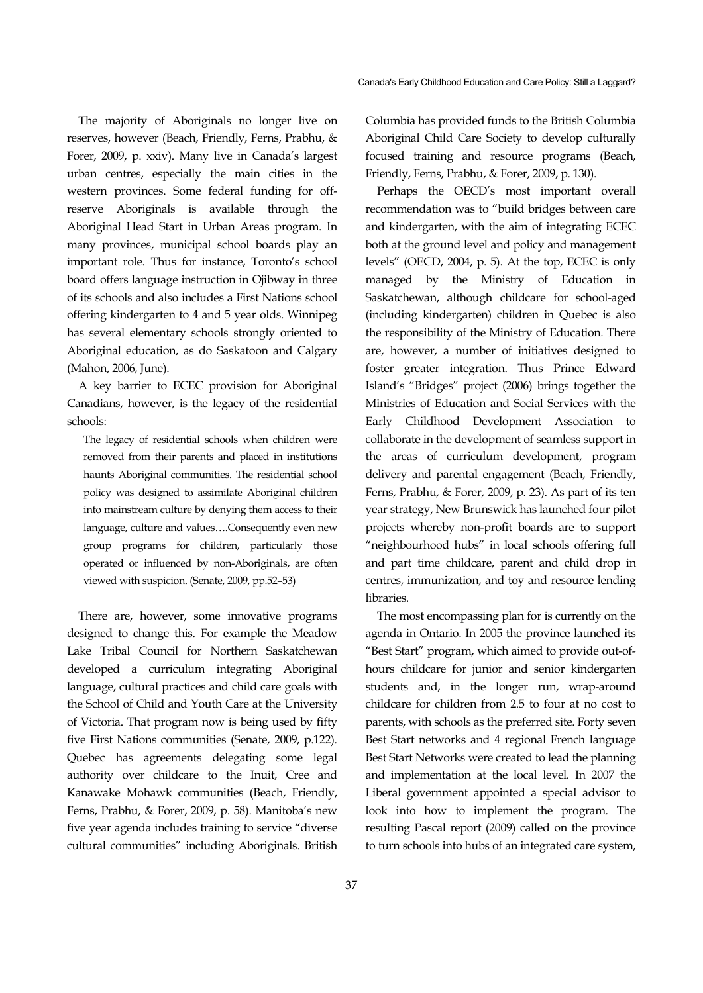The majority of Aboriginals no longer live on reserves, however (Beach, Friendly, Ferns, Prabhu, & Forer, 2009, p. xxiv). Many live in Canada's largest urban centres, especially the main cities in the western provinces. Some federal funding for offreserve Aboriginals is available through the Aboriginal Head Start in Urban Areas program. In many provinces, municipal school boards play an important role. Thus for instance, Toronto's school board offers language instruction in Ojibway in three of its schools and also includes a First Nations school offering kindergarten to 4 and 5 year olds. Winnipeg has several elementary schools strongly oriented to Aboriginal education, as do Saskatoon and Calgary (Mahon, 2006, June).

A key barrier to ECEC provision for Aboriginal Canadians, however, is the legacy of the residential schools:

The legacy of residential schools when children were removed from their parents and placed in institutions haunts Aboriginal communities. The residential school policy was designed to assimilate Aboriginal children into mainstream culture by denying them access to their language, culture and values….Consequently even new group programs for children, particularly those operated or influenced by non-Aboriginals, are often viewed with suspicion. (Senate, 2009, pp.52–53)

There are, however, some innovative programs designed to change this. For example the Meadow Lake Tribal Council for Northern Saskatchewan developed a curriculum integrating Aboriginal language, cultural practices and child care goals with the School of Child and Youth Care at the University of Victoria. That program now is being used by fifty five First Nations communities (Senate, 2009, p.122). Quebec has agreements delegating some legal authority over childcare to the Inuit, Cree and Kanawake Mohawk communities (Beach, Friendly, Ferns, Prabhu, & Forer, 2009, p. 58). Manitoba's new five year agenda includes training to service "diverse cultural communities" including Aboriginals. British

37

Columbia has provided funds to the British Columbia Aboriginal Child Care Society to develop culturally focused training and resource programs (Beach, Friendly, Ferns, Prabhu, & Forer, 2009, p. 130).

Perhaps the OECD's most important overall recommendation was to "build bridges between care and kindergarten, with the aim of integrating ECEC both at the ground level and policy and management levels" (OECD, 2004, p. 5). At the top, ECEC is only managed by the Ministry of Education in Saskatchewan, although childcare for school-aged (including kindergarten) children in Quebec is also the responsibility of the Ministry of Education. There are, however, a number of initiatives designed to foster greater integration. Thus Prince Edward Island's "Bridges" project (2006) brings together the Ministries of Education and Social Services with the Early Childhood Development Association to collaborate in the development of seamless support in the areas of curriculum development, program delivery and parental engagement (Beach, Friendly, Ferns, Prabhu, & Forer, 2009, p. 23). As part of its ten year strategy, New Brunswick has launched four pilot projects whereby non-profit boards are to support "neighbourhood hubs" in local schools offering full and part time childcare, parent and child drop in centres, immunization, and toy and resource lending libraries.

The most encompassing plan for is currently on the agenda in Ontario. In 2005 the province launched its "Best Start" program, which aimed to provide out-ofhours childcare for junior and senior kindergarten students and, in the longer run, wrap-around childcare for children from 2.5 to four at no cost to parents, with schools as the preferred site. Forty seven Best Start networks and 4 regional French language Best Start Networks were created to lead the planning and implementation at the local level. In 2007 the Liberal government appointed a special advisor to look into how to implement the program. The resulting Pascal report (2009) called on the province to turn schools into hubs of an integrated care system,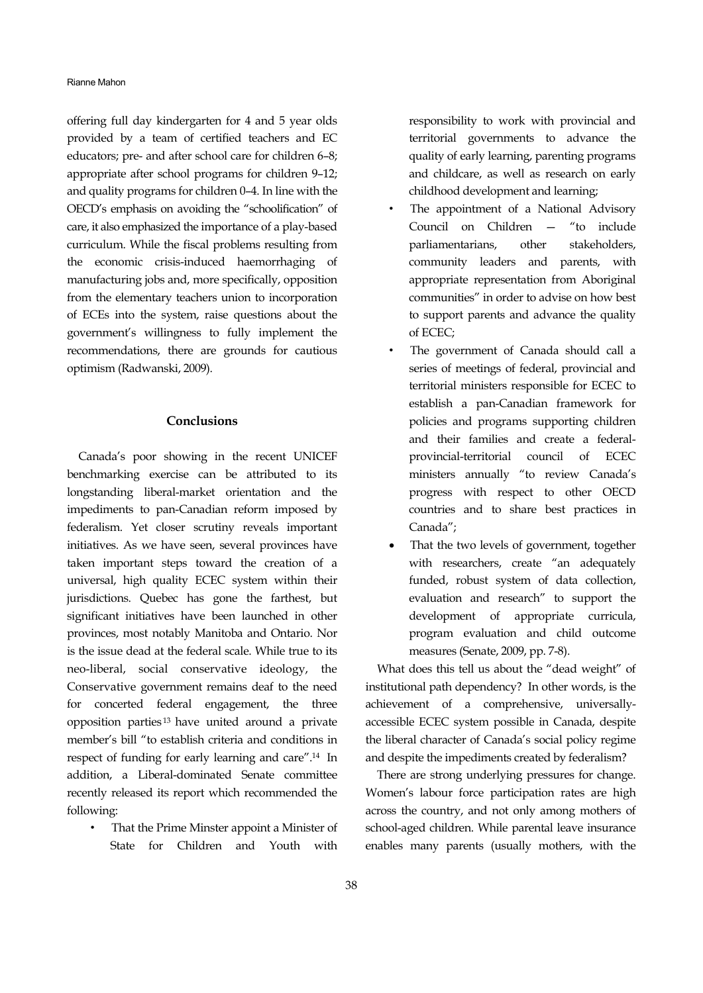offering full day kindergarten for 4 and 5 year olds provided by a team of certified teachers and EC educators; pre- and after school care for children 6–8; appropriate after school programs for children 9–12; and quality programs for children 0–4. In line with the OECD's emphasis on avoiding the "schoolification" of care, it also emphasized the importance of a play-based curriculum. While the fiscal problems resulting from the economic crisis-induced haemorrhaging of manufacturing jobs and, more specifically, opposition from the elementary teachers union to incorporation of ECEs into the system, raise questions about the government's willingness to fully implement the recommendations, there are grounds for cautious optimism (Radwanski, 2009).

## **Conclusions**

Canada's poor showing in the recent UNICEF benchmarking exercise can be attributed to its longstanding liberal-market orientation and the impediments to pan-Canadian reform imposed by federalism. Yet closer scrutiny reveals important initiatives. As we have seen, several provinces have taken important steps toward the creation of a universal, high quality ECEC system within their jurisdictions. Quebec has gone the farthest, but significant initiatives have been launched in other provinces, most notably Manitoba and Ontario. Nor is the issue dead at the federal scale. While true to its neo-liberal, social conservative ideology, the Conservative government remains deaf to the need for concerted federal engagement, the three opposition parties 13 have united around a private member's bill "to establish criteria and conditions in respect of funding for early learning and care".14 In addition, a Liberal-dominated Senate committee recently released its report which recommended the following:

• That the Prime Minster appoint a Minister of State for Children and Youth with

responsibility to work with provincial and territorial governments to advance the quality of early learning, parenting programs and childcare, as well as research on early childhood development and learning;

- The appointment of a National Advisory Council on Children — "to include parliamentarians, other stakeholders, community leaders and parents, with appropriate representation from Aboriginal communities" in order to advise on how best to support parents and advance the quality of ECEC;
- The government of Canada should call a series of meetings of federal, provincial and territorial ministers responsible for ECEC to establish a pan-Canadian framework for policies and programs supporting children and their families and create a federalprovincial-territorial council of ECEC ministers annually "to review Canada's progress with respect to other OECD countries and to share best practices in Canada";
- That the two levels of government, together with researchers, create "an adequately funded, robust system of data collection, evaluation and research" to support the development of appropriate curricula, program evaluation and child outcome measures (Senate, 2009, pp. 7-8).

What does this tell us about the "dead weight" of institutional path dependency? In other words, is the achievement of a comprehensive, universallyaccessible ECEC system possible in Canada, despite the liberal character of Canada's social policy regime and despite the impediments created by federalism?

There are strong underlying pressures for change. Women's labour force participation rates are high across the country, and not only among mothers of school-aged children. While parental leave insurance enables many parents (usually mothers, with the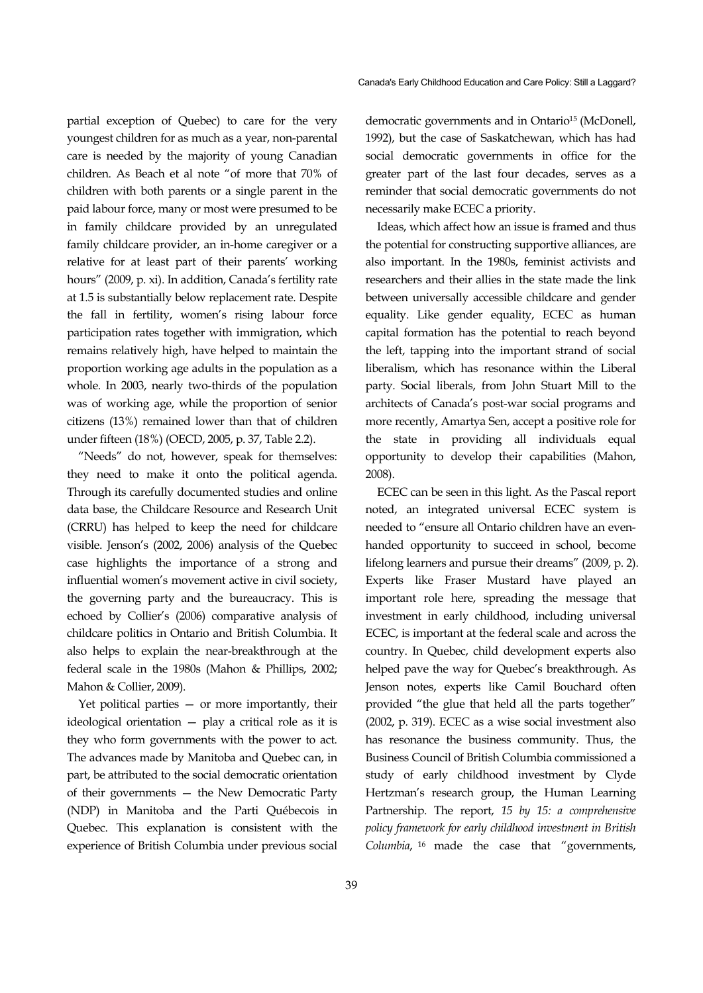partial exception of Quebec) to care for the very youngest children for as much as a year, non-parental care is needed by the majority of young Canadian children. As Beach et al note "of more that 70% of children with both parents or a single parent in the paid labour force, many or most were presumed to be in family childcare provided by an unregulated family childcare provider, an in-home caregiver or a relative for at least part of their parents' working hours" (2009, p. xi). In addition, Canada's fertility rate at 1.5 is substantially below replacement rate. Despite the fall in fertility, women's rising labour force participation rates together with immigration, which remains relatively high, have helped to maintain the proportion working age adults in the population as a whole. In 2003, nearly two-thirds of the population was of working age, while the proportion of senior citizens (13%) remained lower than that of children under fifteen (18%) (OECD, 2005, p. 37, Table 2.2).

"Needs" do not, however, speak for themselves: they need to make it onto the political agenda. Through its carefully documented studies and online data base, the Childcare Resource and Research Unit (CRRU) has helped to keep the need for childcare visible. Jenson's (2002, 2006) analysis of the Quebec case highlights the importance of a strong and influential women's movement active in civil society, the governing party and the bureaucracy. This is echoed by Collier's (2006) comparative analysis of childcare politics in Ontario and British Columbia. It also helps to explain the near-breakthrough at the federal scale in the 1980s (Mahon & Phillips, 2002; Mahon & Collier, 2009).

Yet political parties — or more importantly, their ideological orientation — play a critical role as it is they who form governments with the power to act. The advances made by Manitoba and Quebec can, in part, be attributed to the social democratic orientation of their governments — the New Democratic Party (NDP) in Manitoba and the Parti Québecois in Quebec. This explanation is consistent with the experience of British Columbia under previous social democratic governments and in Ontario<sup>15</sup> (McDonell, 1992), but the case of Saskatchewan, which has had social democratic governments in office for the greater part of the last four decades, serves as a reminder that social democratic governments do not necessarily make ECEC a priority.

Ideas, which affect how an issue is framed and thus the potential for constructing supportive alliances, are also important. In the 1980s, feminist activists and researchers and their allies in the state made the link between universally accessible childcare and gender equality. Like gender equality, ECEC as human capital formation has the potential to reach beyond the left, tapping into the important strand of social liberalism, which has resonance within the Liberal party. Social liberals, from John Stuart Mill to the architects of Canada's post-war social programs and more recently, Amartya Sen, accept a positive role for the state in providing all individuals equal opportunity to develop their capabilities (Mahon, 2008).

ECEC can be seen in this light. As the Pascal report noted, an integrated universal ECEC system is needed to "ensure all Ontario children have an evenhanded opportunity to succeed in school, become lifelong learners and pursue their dreams" (2009, p. 2). Experts like Fraser Mustard have played an important role here, spreading the message that investment in early childhood, including universal ECEC, is important at the federal scale and across the country. In Quebec, child development experts also helped pave the way for Quebec's breakthrough. As Jenson notes, experts like Camil Bouchard often provided "the glue that held all the parts together" (2002, p. 319). ECEC as a wise social investment also has resonance the business community. Thus, the Business Council of British Columbia commissioned a study of early childhood investment by Clyde Hertzman's research group, the Human Learning Partnership. The report, *15 by 15: a comprehensive policy framework for early childhood investment in British Columbia*, <sup>16</sup> made the case that "governments,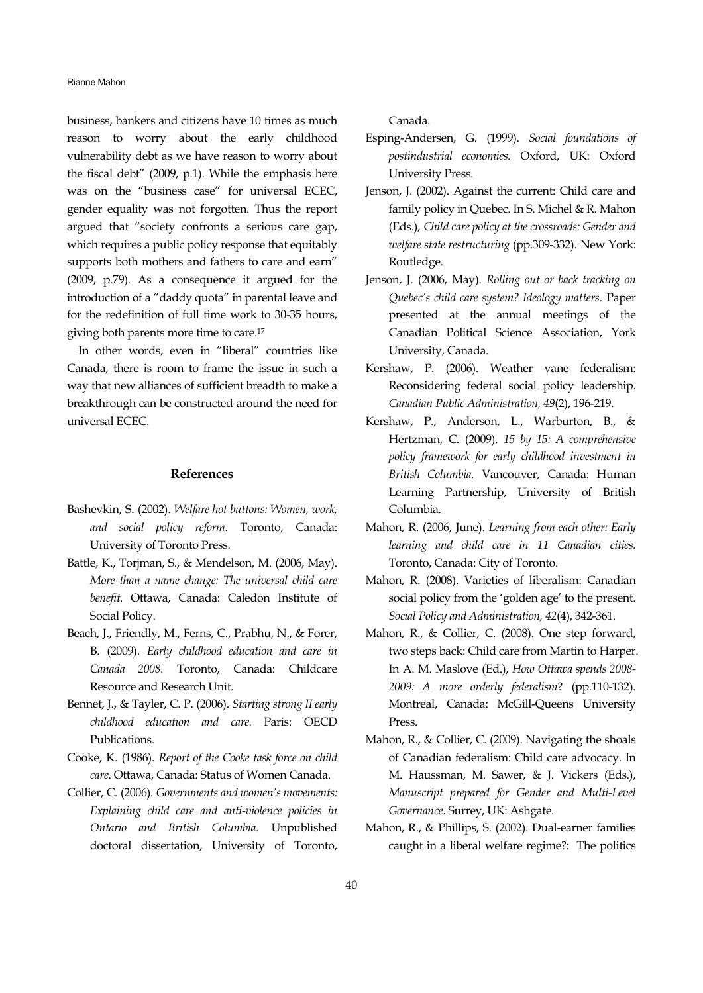Rianne Mahon

business, bankers and citizens have 10 times as much reason to worry about the early childhood vulnerability debt as we have reason to worry about the fiscal debt" (2009, p.1). While the emphasis here was on the "business case" for universal ECEC, gender equality was not forgotten. Thus the report argued that "society confronts a serious care gap, which requires a public policy response that equitably supports both mothers and fathers to care and earn" (2009, p.79). As a consequence it argued for the introduction of a "daddy quota" in parental leave and for the redefinition of full time work to 30-35 hours, giving both parents more time to care.17

In other words, even in "liberal" countries like Canada, there is room to frame the issue in such a way that new alliances of sufficient breadth to make a breakthrough can be constructed around the need for universal ECEC.

### **References**

- Bashevkin, S. (2002). *Welfare hot buttons: Women, work, and social policy reform*. Toronto, Canada: University of Toronto Press.
- Battle, K., Torjman, S., & Mendelson, M. (2006, May). *More than a name change: The universal child care benefit.* Ottawa, Canada: Caledon Institute of Social Policy.
- Beach, J., Friendly, M., Ferns, C., Prabhu, N., & Forer, B. (2009). *Early childhood education and care in Canada 2008*. Toronto, Canada: Childcare Resource and Research Unit.
- Bennet, J., & Tayler, C. P. (2006). *Starting strong II early childhood education and care.* Paris: OECD Publications.
- Cooke, K. (1986). *Report of the Cooke task force on child care*. Ottawa, Canada: Status of Women Canada.
- Collier, C. (2006). *Governments and women's movements: Explaining child care and anti-violence policies in Ontario and British Columbia*. Unpublished doctoral dissertation, University of Toronto,

Canada.

- Esping-Andersen, G. (1999). *Social foundations of postindustrial economies.* Oxford, UK: Oxford University Press.
- Jenson, J. (2002). Against the current: Child care and family policy in Quebec. In S. Michel & R. Mahon (Eds.), *Child care policy at the crossroads: Gender and welfare state restructuring* (pp.309-332). New York: Routledge.
- Jenson, J. (2006, May). *Rolling out or back tracking on Quebec's child care system? Ideology matters*. Paper presented at the annual meetings of the Canadian Political Science Association, York University, Canada.
- Kershaw, P. (2006). Weather vane federalism: Reconsidering federal social policy leadership. *Canadian Public Administration, 49*(2), 196-219.
- Kershaw, P., Anderson, L., Warburton, B., & Hertzman, C. (2009). *15 by 15: A comprehensive policy framework for early childhood investment in British Columbia.* Vancouver, Canada: Human Learning Partnership, University of British Columbia.
- Mahon, R. (2006, June). *Learning from each other: Early learning and child care in 11 Canadian cities.* Toronto, Canada: City of Toronto.
- Mahon, R. (2008). Varieties of liberalism: Canadian social policy from the 'golden age' to the present. *Social Policy and Administration, 42*(4), 342-361.
- Mahon, R., & Collier, C. (2008). One step forward, two steps back: Child care from Martin to Harper. In A. M. Maslove (Ed.), *How Ottawa spends 2008- 2009: A more orderly federalism*? (pp.110-132). Montreal, Canada: McGill-Queens University Press.
- Mahon, R., & Collier, C. (2009). Navigating the shoals of Canadian federalism: Child care advocacy. In M. Haussman, M. Sawer, & J. Vickers (Eds.), *Manuscript prepared for Gender and Multi-Level Governance*. Surrey, UK: Ashgate.
- Mahon, R., & Phillips, S. (2002). Dual-earner families caught in a liberal welfare regime?: The politics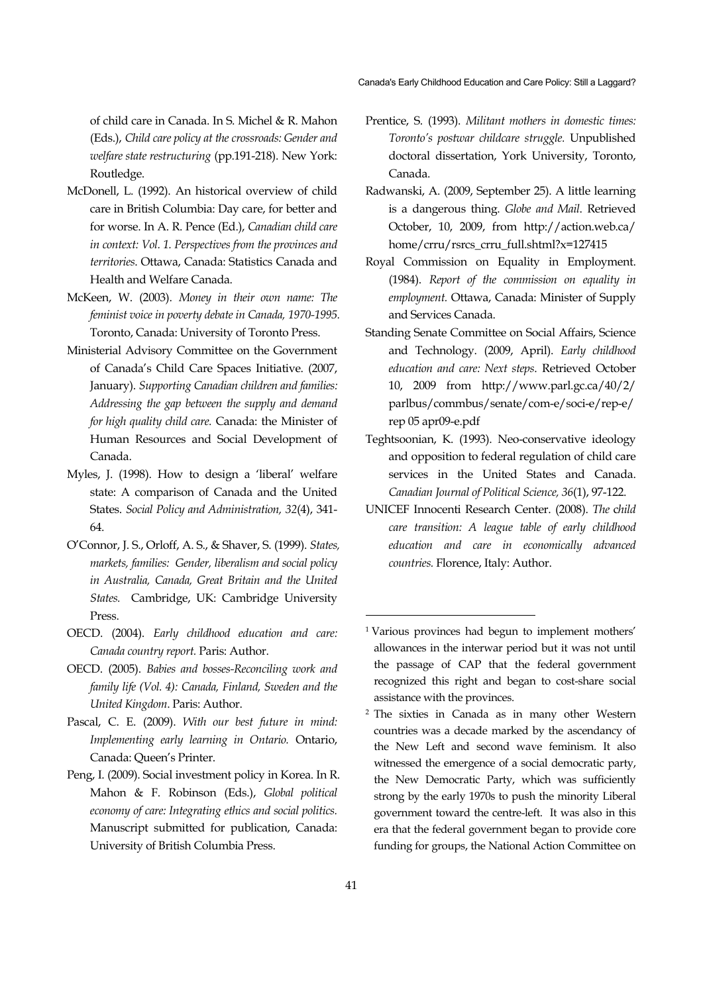of child care in Canada. In S. Michel & R. Mahon (Eds.), *Child care policy at the crossroads: Gender and welfare state restructuring* (pp.191-218). New York: Routledge.

- McDonell, L. (1992). An historical overview of child care in British Columbia: Day care, for better and for worse. In A. R. Pence (Ed.), *Canadian child care in context: Vol. 1. Perspectives from the provinces and territories*. Ottawa, Canada: Statistics Canada and Health and Welfare Canada.
- McKeen, W. (2003). *Money in their own name: The feminist voice in poverty debate in Canada, 1970-1995.*  Toronto, Canada: University of Toronto Press.
- Ministerial Advisory Committee on the Government of Canada's Child Care Spaces Initiative. (2007, January). *Supporting Canadian children and families: Addressing the gap between the supply and demand for high quality child care.* Canada: the Minister of Human Resources and Social Development of Canada.
- Myles, J. (1998). How to design a 'liberal' welfare state: A comparison of Canada and the United States. *Social Policy and Administration, 32*(4), 341- 64.
- O'Connor, J. S., Orloff, A. S., & Shaver, S. (1999). *States, markets, families: Gender, liberalism and social policy in Australia, Canada, Great Britain and the United States.* Cambridge, UK: Cambridge University Press.
- OECD. (2004). *Early childhood education and care: Canada country report.* Paris: Author.
- OECD. (2005). *Babies and bosses-Reconciling work and family life (Vol. 4): Canada, Finland, Sweden and the United Kingdom*. Paris: Author.
- Pascal, C. E. (2009). *With our best future in mind: Implementing early learning in Ontario.* Ontario, Canada: Queen's Printer.
- Peng, I. (2009). Social investment policy in Korea. In R. Mahon & F. Robinson (Eds.), *Global political economy of care: Integrating ethics and social politics.*  Manuscript submitted for publication, Canada: University of British Columbia Press.
- Prentice, S. (1993). *Militant mothers in domestic times: Toronto's postwar childcare struggle.* Unpublished doctoral dissertation, York University, Toronto, Canada.
- Radwanski, A. (2009, September 25). A little learning is a dangerous thing. *Globe and Mail*. Retrieved October, 10, 2009, from http://action.web.ca/ home/crru/rsrcs\_crru\_full.shtml?x=127415
- Royal Commission on Equality in Employment. (1984). *Report of the commission on equality in employment.* Ottawa, Canada: Minister of Supply and Services Canada.
- Standing Senate Committee on Social Affairs, Science and Technology. (2009, April). *Early childhood education and care: Next steps*. Retrieved October 10, 2009 from http://www.parl.gc.ca/40/2/ parlbus/commbus/senate/com-e/soci-e/rep-e/ rep 05 apr09-e.pdf
- Teghtsoonian, K. (1993). Neo-conservative ideology and opposition to federal regulation of child care services in the United States and Canada. *Canadian Journal of Political Science, 36*(1), 97-122.
- UNICEF Innocenti Research Center. (2008). *The* c*hild care transition: A league table of early childhood education and care in economically advanced countries.* Florence, Italy: Author.

1

<sup>1</sup> Various provinces had begun to implement mothers' allowances in the interwar period but it was not until the passage of CAP that the federal government recognized this right and began to cost-share social assistance with the provinces.

<sup>2</sup> The sixties in Canada as in many other Western countries was a decade marked by the ascendancy of the New Left and second wave feminism. It also witnessed the emergence of a social democratic party, the New Democratic Party, which was sufficiently strong by the early 1970s to push the minority Liberal government toward the centre-left. It was also in this era that the federal government began to provide core funding for groups, the National Action Committee on